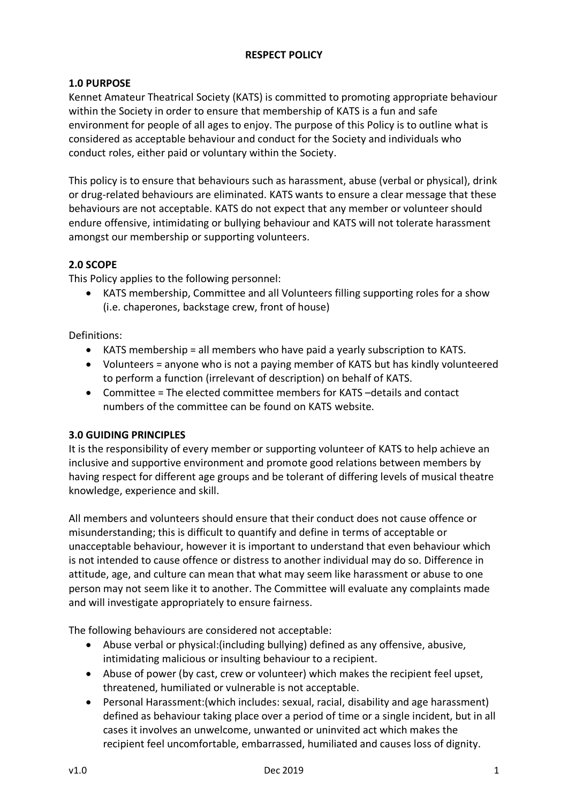# **RESPECT POLICY**

# **1.0 PURPOSE**

Kennet Amateur Theatrical Society (KATS) is committed to promoting appropriate behaviour within the Society in order to ensure that membership of KATS is a fun and safe environment for people of all ages to enjoy. The purpose of this Policy is to outline what is considered as acceptable behaviour and conduct for the Society and individuals who conduct roles, either paid or voluntary within the Society.

This policy is to ensure that behaviours such as harassment, abuse (verbal or physical), drink or drug-related behaviours are eliminated. KATS wants to ensure a clear message that these behaviours are not acceptable. KATS do not expect that any member or volunteer should endure offensive, intimidating or bullying behaviour and KATS will not tolerate harassment amongst our membership or supporting volunteers.

## **2.0 SCOPE**

This Policy applies to the following personnel:

• KATS membership, Committee and all Volunteers filling supporting roles for a show (i.e. chaperones, backstage crew, front of house)

Definitions:

- KATS membership = all members who have paid a yearly subscription to KATS.
- Volunteers = anyone who is not a paying member of KATS but has kindly volunteered to perform a function (irrelevant of description) on behalf of KATS.
- Committee = The elected committee members for KATS –details and contact numbers of the committee can be found on KATS website.

## **3.0 GUIDING PRINCIPLES**

It is the responsibility of every member or supporting volunteer of KATS to help achieve an inclusive and supportive environment and promote good relations between members by having respect for different age groups and be tolerant of differing levels of musical theatre knowledge, experience and skill.

All members and volunteers should ensure that their conduct does not cause offence or misunderstanding; this is difficult to quantify and define in terms of acceptable or unacceptable behaviour, however it is important to understand that even behaviour which is not intended to cause offence or distress to another individual may do so. Difference in attitude, age, and culture can mean that what may seem like harassment or abuse to one person may not seem like it to another. The Committee will evaluate any complaints made and will investigate appropriately to ensure fairness.

The following behaviours are considered not acceptable:

- Abuse verbal or physical:(including bullying) defined as any offensive, abusive, intimidating malicious or insulting behaviour to a recipient.
- Abuse of power (by cast, crew or volunteer) which makes the recipient feel upset, threatened, humiliated or vulnerable is not acceptable.
- Personal Harassment:(which includes: sexual, racial, disability and age harassment) defined as behaviour taking place over a period of time or a single incident, but in all cases it involves an unwelcome, unwanted or uninvited act which makes the recipient feel uncomfortable, embarrassed, humiliated and causes loss of dignity.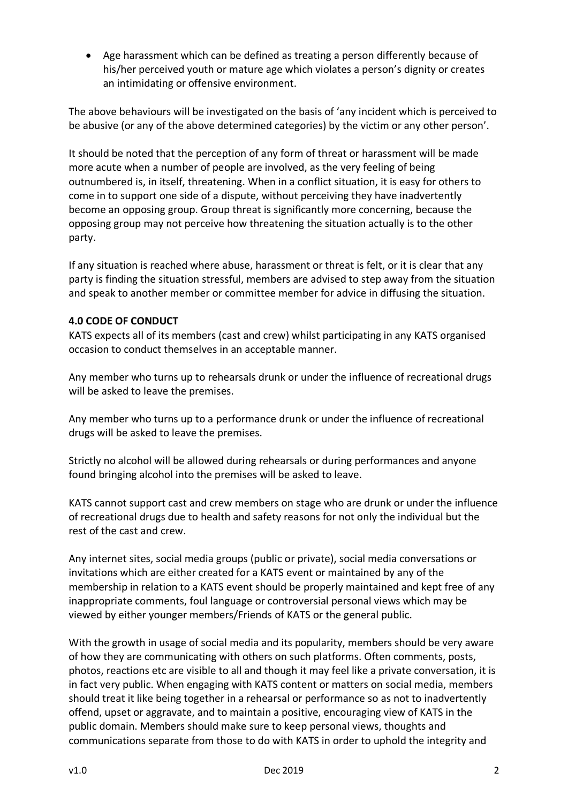• Age harassment which can be defined as treating a person differently because of his/her perceived youth or mature age which violates a person's dignity or creates an intimidating or offensive environment.

The above behaviours will be investigated on the basis of 'any incident which is perceived to be abusive (or any of the above determined categories) by the victim or any other person'.

It should be noted that the perception of any form of threat or harassment will be made more acute when a number of people are involved, as the very feeling of being outnumbered is, in itself, threatening. When in a conflict situation, it is easy for others to come in to support one side of a dispute, without perceiving they have inadvertently become an opposing group. Group threat is significantly more concerning, because the opposing group may not perceive how threatening the situation actually is to the other party.

If any situation is reached where abuse, harassment or threat is felt, or it is clear that any party is finding the situation stressful, members are advised to step away from the situation and speak to another member or committee member for advice in diffusing the situation.

#### **4.0 CODE OF CONDUCT**

KATS expects all of its members (cast and crew) whilst participating in any KATS organised occasion to conduct themselves in an acceptable manner.

Any member who turns up to rehearsals drunk or under the influence of recreational drugs will be asked to leave the premises.

Any member who turns up to a performance drunk or under the influence of recreational drugs will be asked to leave the premises.

Strictly no alcohol will be allowed during rehearsals or during performances and anyone found bringing alcohol into the premises will be asked to leave.

KATS cannot support cast and crew members on stage who are drunk or under the influence of recreational drugs due to health and safety reasons for not only the individual but the rest of the cast and crew.

Any internet sites, social media groups (public or private), social media conversations or invitations which are either created for a KATS event or maintained by any of the membership in relation to a KATS event should be properly maintained and kept free of any inappropriate comments, foul language or controversial personal views which may be viewed by either younger members/Friends of KATS or the general public.

With the growth in usage of social media and its popularity, members should be very aware of how they are communicating with others on such platforms. Often comments, posts, photos, reactions etc are visible to all and though it may feel like a private conversation, it is in fact very public. When engaging with KATS content or matters on social media, members should treat it like being together in a rehearsal or performance so as not to inadvertently offend, upset or aggravate, and to maintain a positive, encouraging view of KATS in the public domain. Members should make sure to keep personal views, thoughts and communications separate from those to do with KATS in order to uphold the integrity and